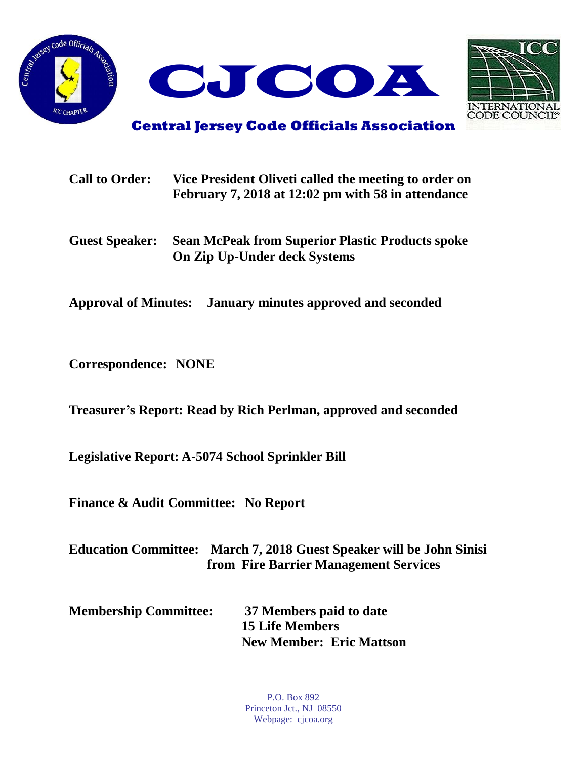



**Central Jersey Code Officials Association**

| <b>Call to Order:</b> | Vice President Oliveti called the meeting to order on |  |
|-----------------------|-------------------------------------------------------|--|
|                       | February 7, 2018 at 12:02 pm with 58 in attendance    |  |

**Guest Speaker: Sean McPeak from Superior Plastic Products spoke On Zip Up-Under deck Systems**

**Approval of Minutes: January minutes approved and seconded**

**Correspondence: NONE**

**Treasurer's Report: Read by Rich Perlman, approved and seconded**

**Legislative Report: A-5074 School Sprinkler Bill**

**Finance & Audit Committee: No Report**

**Education Committee: March 7, 2018 Guest Speaker will be John Sinisi from Fire Barrier Management Services**

| <b>Membership Committee:</b> | 37 Members paid to date         |
|------------------------------|---------------------------------|
|                              | <b>15 Life Members</b>          |
|                              | <b>New Member: Eric Mattson</b> |

P.O. Box 892 Princeton Jct., NJ 08550 Webpage: cjcoa.org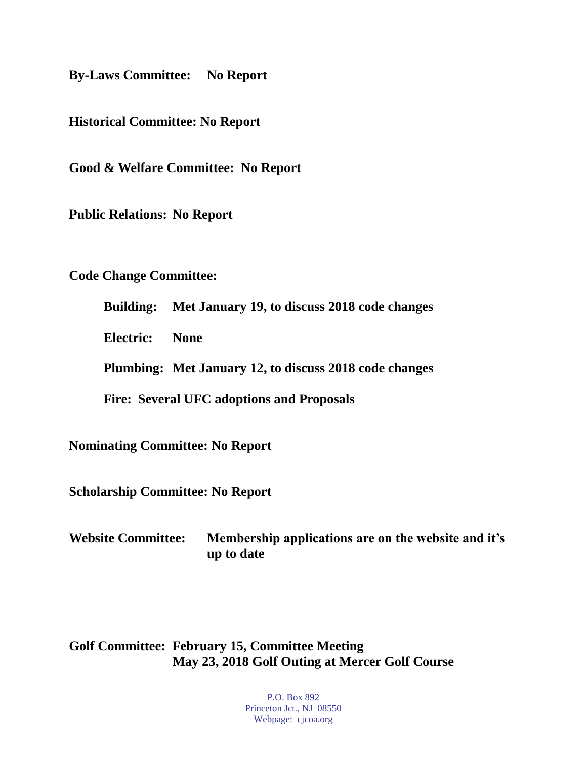**By-Laws Committee: No Report**

**Historical Committee: No Report**

**Good & Welfare Committee: No Report**

**Public Relations: No Report**

**Code Change Committee:**

**Building: Met January 19, to discuss 2018 code changes**

**Electric: None**

**Plumbing: Met January 12, to discuss 2018 code changes**

**Fire: Several UFC adoptions and Proposals**

**Nominating Committee: No Report**

**Scholarship Committee: No Report**

**Website Committee: Membership applications are on the website and it's up to date**

## **Golf Committee: February 15, Committee Meeting May 23, 2018 Golf Outing at Mercer Golf Course**

P.O. Box 892 Princeton Jct., NJ 08550 Webpage: cjcoa.org